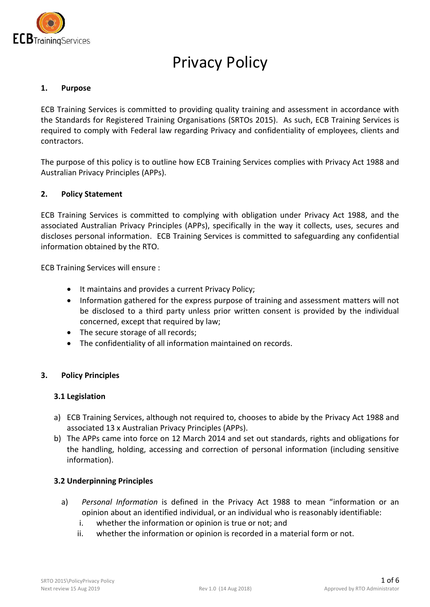

# Privacy Policy

#### **1. Purpose**

ECB Training Services is committed to providing quality training and assessment in accordance with the Standards for Registered Training Organisations (SRTOs 2015). As such, ECB Training Services is required to comply with Federal law regarding Privacy and confidentiality of employees, clients and contractors.

The purpose of this policy is to outline how ECB Training Services complies with Privacy Act 1988 and Australian Privacy Principles (APPs).

#### **2. Policy Statement**

ECB Training Services is committed to complying with obligation under Privacy Act 1988, and the associated Australian Privacy Principles (APPs), specifically in the way it collects, uses, secures and discloses personal information. ECB Training Services is committed to safeguarding any confidential information obtained by the RTO.

ECB Training Services will ensure :

- It maintains and provides a current Privacy Policy;
- Information gathered for the express purpose of training and assessment matters will not be disclosed to a third party unless prior written consent is provided by the individual concerned, except that required by law;
- The secure storage of all records;
- The confidentiality of all information maintained on records.

#### **3. Policy Principles**

#### **3.1 Legislation**

- a) ECB Training Services, although not required to, chooses to abide by the Privacy Act 1988 and associated 13 x Australian Privacy Principles (APPs).
- b) The APPs came into force on 12 March 2014 and set out standards, rights and obligations for the handling, holding, accessing and correction of personal information (including sensitive information).

#### **3.2 Underpinning Principles**

- a) *Personal Information* is defined in the Privacy Act 1988 to mean "information or an opinion about an identified individual, or an individual who is reasonably identifiable:
	- i. whether the information or opinion is true or not; and
	- ii. whether the information or opinion is recorded in a material form or not.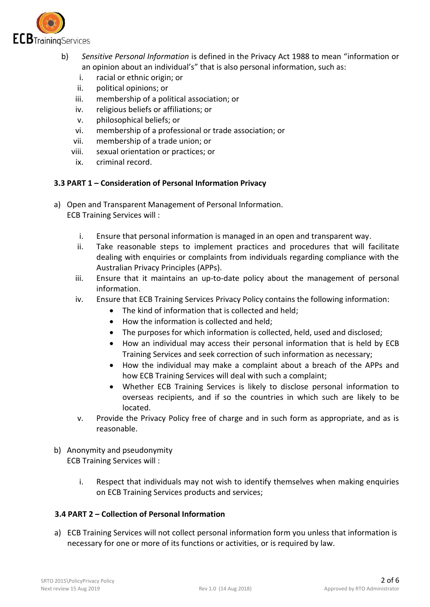

- b) *Sensitive Personal Information* is defined in the Privacy Act 1988 to mean "information or an opinion about an individual's" that is also personal information, such as:
	- i. racial or ethnic origin; or
	- ii. political opinions; or
	- iii. membership of a political association; or
	- iv. religious beliefs or affiliations; or
	- v. philosophical beliefs; or
	- vi. membership of a professional or trade association; or
	- vii. membership of a trade union; or
	- viii. sexual orientation or practices; or
	- ix. criminal record.

## **3.3 PART 1 – Consideration of Personal Information Privacy**

- a) Open and Transparent Management of Personal Information. ECB Training Services will :
	- i. Ensure that personal information is managed in an open and transparent way.
	- ii. Take reasonable steps to implement practices and procedures that will facilitate dealing with enquiries or complaints from individuals regarding compliance with the Australian Privacy Principles (APPs).
	- iii. Ensure that it maintains an up-to-date policy about the management of personal information.
	- iv. Ensure that ECB Training Services Privacy Policy contains the following information:
		- The kind of information that is collected and held;
		- How the information is collected and held:
		- The purposes for which information is collected, held, used and disclosed;
		- How an individual may access their personal information that is held by ECB Training Services and seek correction of such information as necessary;
		- How the individual may make a complaint about a breach of the APPs and how ECB Training Services will deal with such a complaint;
		- Whether ECB Training Services is likely to disclose personal information to overseas recipients, and if so the countries in which such are likely to be located.
	- v. Provide the Privacy Policy free of charge and in such form as appropriate, and as is reasonable.
- b) Anonymity and pseudonymity ECB Training Services will :
	- i. Respect that individuals may not wish to identify themselves when making enquiries on ECB Training Services products and services;

## **3.4 PART 2 – Collection of Personal Information**

a) ECB Training Services will not collect personal information form you unless that information is necessary for one or more of its functions or activities, or is required by law.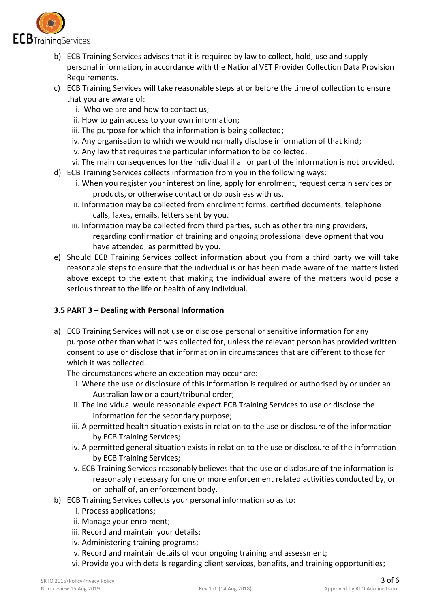

- b) ECB Training Services advises that it is required by law to collect, hold, use and supply personal information, in accordance with the National VET Provider Collection Data Provision Requirements.
- c) ECB Training Services will take reasonable steps at or before the time of collection to ensure that you are aware of:
	- i. Who we are and how to contact us;
	- ii. How to gain access to your own information;
	- iii. The purpose for which the information is being collected;
	- iv. Any organisation to which we would normally disclose information of that kind;
	- v. Any law that requires the particular information to be collected;
	- vi. The main consequences for the individual if all or part of the information is not provided.
- d) ECB Training Services collects information from you in the following ways:
	- i. When you register your interest on line, apply for enrolment, request certain services or products, or otherwise contact or do business with us.
	- ii. Information may be collected from enrolment forms, certified documents, telephone calls, faxes, emails, letters sent by you.
	- iii. Information may be collected from third parties, such as other training providers, regarding confirmation of training and ongoing professional development that you have attended, as permitted by you.
- e) Should ECB Training Services collect information about you from a third party we will take reasonable steps to ensure that the individual is or has been made aware of the matters listed above except to the extent that making the individual aware of the matters would pose a serious threat to the life or health of any individual.

## **3.5 PART 3 – Dealing with Personal Information**

a) ECB Training Services will not use or disclose personal or sensitive information for any purpose other than what it was collected for, unless the relevant person has provided written consent to use or disclose that information in circumstances that are different to those for which it was collected.

The circumstances where an exception may occur are:

- i. Where the use or disclosure of this information is required or authorised by or under an Australian law or a court/tribunal order;
- ii. The individual would reasonable expect ECB Training Services to use or disclose the information for the secondary purpose;
- iii. A permitted health situation exists in relation to the use or disclosure of the information by ECB Training Services;
- iv. A permitted general situation exists in relation to the use or disclosure of the information by ECB Training Services;
- v. ECB Training Services reasonably believes that the use or disclosure of the information is reasonably necessary for one or more enforcement related activities conducted by, or on behalf of, an enforcement body.
- b) ECB Training Services collects your personal information so as to:
	- i. Process applications;
	- ii. Manage your enrolment;
	- iii. Record and maintain your details;
	- iv. Administering training programs;
	- v. Record and maintain details of your ongoing training and assessment;
	- vi. Provide you with details regarding client services, benefits, and training opportunities;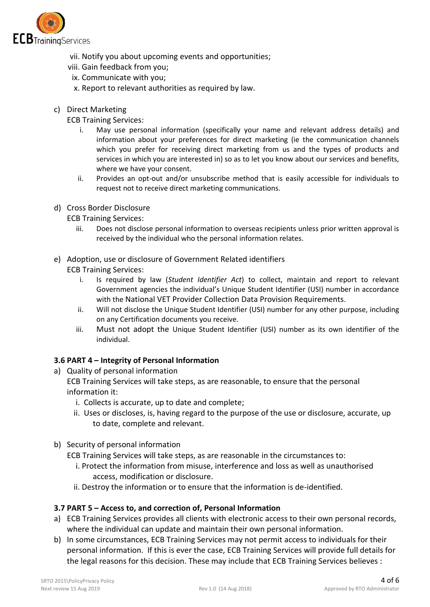

- vii. Notify you about upcoming events and opportunities;
- viii. Gain feedback from you;
	- ix. Communicate with you;
	- x. Report to relevant authorities as required by law.
- c) Direct Marketing

ECB Training Services:

- i. May use personal information (specifically your name and relevant address details) and information about your preferences for direct marketing (ie the communication channels which you prefer for receiving direct marketing from us and the types of products and services in which you are interested in) so as to let you know about our services and benefits, where we have your consent.
- ii. Provides an opt-out and/or unsubscribe method that is easily accessible for individuals to request not to receive direct marketing communications.
- d) Cross Border Disclosure

ECB Training Services:

- iii. Does not disclose personal information to overseas recipients unless prior written approval is received by the individual who the personal information relates.
- e) Adoption, use or disclosure of Government Related identifiers

ECB Training Services:

- i. Is required by law (*Student Identifier Act*) to collect, maintain and report to relevant Government agencies the individual's Unique Student Identifier (USI) number in accordance with the National VET Provider Collection Data Provision Requirements.
- ii. Will not disclose the Unique Student Identifier (USI) number for any other purpose, including on any Certification documents you receive.
- iii. Must not adopt the Unique Student Identifier (USI) number as its own identifier of the individual.

## **3.6 PART 4 – Integrity of Personal Information**

a) Quality of personal information

ECB Training Services will take steps, as are reasonable, to ensure that the personal information it:

- i. Collects is accurate, up to date and complete;
- ii. Uses or discloses, is, having regard to the purpose of the use or disclosure, accurate, up to date, complete and relevant.
- b) Security of personal information

ECB Training Services will take steps, as are reasonable in the circumstances to:

- i. Protect the information from misuse, interference and loss as well as unauthorised access, modification or disclosure.
- ii. Destroy the information or to ensure that the information is de-identified.

## **3.7 PART 5 – Access to, and correction of, Personal Information**

- a) ECB Training Services provides all clients with electronic access to their own personal records, where the individual can update and maintain their own personal information.
- b) In some circumstances, ECB Training Services may not permit access to individuals for their personal information. If this is ever the case, ECB Training Services will provide full details for the legal reasons for this decision. These may include that ECB Training Services believes :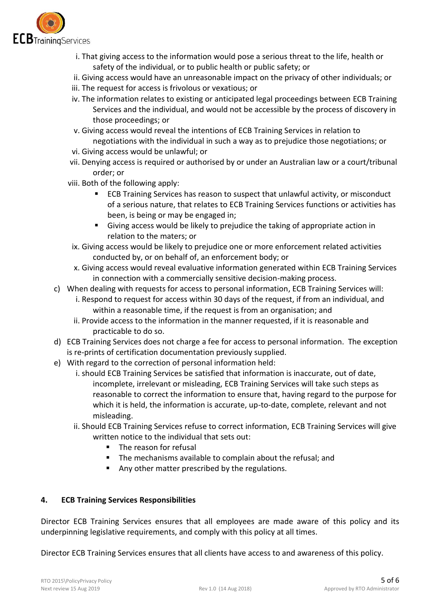

- i. That giving access to the information would pose a serious threat to the life, health or safety of the individual, or to public health or public safety; or
- ii. Giving access would have an unreasonable impact on the privacy of other individuals; or
- iii. The request for access is frivolous or vexatious; or
- iv. The information relates to existing or anticipated legal proceedings between ECB Training Services and the individual, and would not be accessible by the process of discovery in those proceedings; or
- v. Giving access would reveal the intentions of ECB Training Services in relation to negotiations with the individual in such a way as to prejudice those negotiations; or
- vi. Giving access would be unlawful; or
- vii. Denying access is required or authorised by or under an Australian law or a court/tribunal order; or
- viii. Both of the following apply:
	- ECB Training Services has reason to suspect that unlawful activity, or misconduct of a serious nature, that relates to ECB Training Services functions or activities has been, is being or may be engaged in;
	- Giving access would be likely to prejudice the taking of appropriate action in relation to the maters; or
	- ix. Giving access would be likely to prejudice one or more enforcement related activities conducted by, or on behalf of, an enforcement body; or
	- x. Giving access would reveal evaluative information generated within ECB Training Services in connection with a commercially sensitive decision-making process.
- c) When dealing with requests for access to personal information, ECB Training Services will: i. Respond to request for access within 30 days of the request, if from an individual, and
	- within a reasonable time, if the request is from an organisation; and ii. Provide access to the information in the manner requested, if it is reasonable and
- practicable to do so. d) ECB Training Services does not charge a fee for access to personal information. The exception
- is re-prints of certification documentation previously supplied.
- e) With regard to the correction of personal information held:
	- i. should ECB Training Services be satisfied that information is inaccurate, out of date, incomplete, irrelevant or misleading, ECB Training Services will take such steps as reasonable to correct the information to ensure that, having regard to the purpose for which it is held, the information is accurate, up-to-date, complete, relevant and not misleading.
	- ii. Should ECB Training Services refuse to correct information, ECB Training Services will give written notice to the individual that sets out:
		- The reason for refusal
		- **The mechanisms available to complain about the refusal; and**
		- Any other matter prescribed by the regulations.

## **4. ECB Training Services Responsibilities**

Director ECB Training Services ensures that all employees are made aware of this policy and its underpinning legislative requirements, and comply with this policy at all times.

Director ECB Training Services ensures that all clients have access to and awareness of this policy.